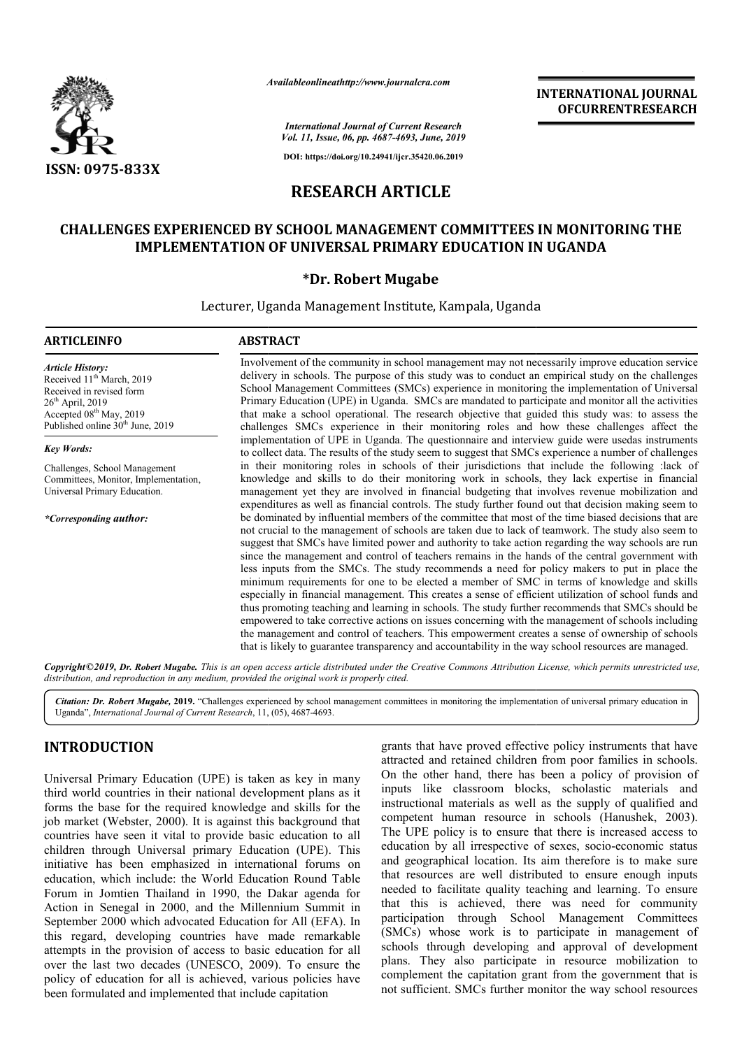

*Availableonlineathttp://www.journal Availableonlineathttp://www.journalcra.com*

*International Journal of Current Research Vol. 11, Issue, 06, pp. 4687-4693, June, 2019*

**DOI: https://doi.org/10.24941/ijcr.35420.06.2019**

# **RESEARCH ARTICLE**

# **CHALLENGES EXPERIENCED BY SCHOOL MANAGEMENT COMMITTEES IN MONITORING THE IMPLEMENTATION OF UNIVERSAL PRIMARY EDUCATION IN UGANDA**

### **\*Dr. Robert Mugabe**

Lecturer, Uganda Management Institute, Kampala, Uganda

#### **ARTICLEINFO ABSTRACT**

*Article History:* Received 11<sup>th</sup> March, 2019 Received in revised form 26th April, 2019 Accepted 08<sup>th</sup> May, 2019 Published online 30<sup>th</sup> June, 2019

#### *Key Words:*

Challenges, School Management Committees, Monitor, Implementation, Universal Primary Education.

*\*Corresponding author:*

Involvement of the community in school management may not necessarily improve education service delivery in schools. The purpose of this study was to conduct an empirical study on the challenges School Management Committees (SMCs) experience in monitoring Primary Education (UPE) in Uganda. SMCs are mandated to participate and monitor all the activities Primary Education (UPE) in Uganda. SMCs are mandated to participate and monitor all the activities that make a school operational. The research objective that guided this study was: to assess the challenges SMCs experience in their monitoring roles and how these challenges affect the implementation of UPE in Uganda. The questionnaire and interview guide were usedas instruments challenges SMCs experience in their monitoring roles and how these challenges affect the implementation of UPE in Uganda. The questionnaire and interview guide were usedas instruments to collect data. The results of the st in their monitoring roles in schools of their jurisdictions that include the following :lack of knowledge and skills to do their monitoring work in schools, they lack expertise in financial knowledge and skills to do their monitoring work in schools, they lack expertise in financial management yet they are involved in financial budgeting that involves revenue mobilization and expenditures as well as financial controls. The study further found out that decision making seem to be dominated by influential members of the committee that most of the time biased decisions that are not crucial to the man management of schools are taken due to lack of teamwork. The study also seem to suggest that SMCs have limited power and authority to take action regarding the way schools are run since the management and control of teachers remains in the hands of the central government with less inputs from the SMCs. The study recommends a need for policy makers to put in place the minimum requirements for one to be elected a member of SMC in terms of knowledge and skills especially in financial management. This creates a se sense of efficient utilization of school funds and thus promoting teaching and learning in schools. The study further recommends that SMCs should be empowered to take corrective actions on issues concerning with the management of schools including the manage management and control of teachers. This empowerment creates a sense of ownership of schools that is likely to guarantee transparency and accountability in the way school resources are managed. school management may not necessarily improve education service<br>of this study was to conduct an empirical study on the challenges<br>(SMCs) experience in monitoring the implementation of Universal is well as financial controls. The study further found out that decision making seem to by influential members of the committee that most of the time biased decisions that are the management of schools are taken due to lac from the SMCs. The study recommends a need for policy makers to put in place the equirements for one to be elected a member of SMC in terms of knowledge and skills in financial management. This creates a sense of efficient INTERNATIONAL JOURNAL<br>
FOR RESERVE TRESSEARCH<br>
SOF, than, 2019<br>
2013, than, 2019<br>
2013, than, 2019<br>
2013, than, 2019<br>
2013, than, 2019<br>
2013, the sufficient COMMITTIENS IN MONITORING THE<br>
2018 CHOMET COMMITTIENS IN MONITO

Copyright©2019, Dr. Robert Mugabe. This is an open access article distributed under the Creative Commons Attribution License, which permits unrestricted use, *distribution, and reproduction in any medium, provided the original work is properly cited.*

Citation: Dr. Robert Mugabe, 2019. "Challenges experienced by school management committees in monitoring the implementation of universal primary education in Uganda", *International Journal of Current Research*, 11, ( (05), 4687-4693.

# **INTRODUCTION**

Universal Primary Education (UPE) is taken as key in many third world countries in their national development plans as it forms the base for the required knowledge and skills for the job market (Webster, 2000). It is against this background that Webster, countries have seen it vital to provide basic education to all children through Universal primary Education (UPE). This initiative has been emphasized in international forums on education, which include: the World Education Round Table Forum in Jomtien Thailand in 1990, the D Dakar agenda for Action in Senegal in 2000, and the Millennium Summit in September 2000 which advocated Education for All (EFA). In this regard, developing countries have made remarkable attempts in the provision of access to basic education for all over the last two decades (UNESCO, 2009). To ensure the policy of education for all is achieved, various policies have been formulated and implemented that include capitation

grants that have proved effective policy instruments that have attracted and retained children from poor families in schools. On the other hand, there has been a policy of provision of inputs like classroom blocks, scholastic materials and instructional materials as well as the supply of qualified and competent human resource in schools (Hanushek, 2003). The UPE policy is to ensure that there is increased access to The UPE policy is to ensure that there is increased access to education by all irrespective of sexes, socio-economic status and geographical location. Its aim therefore is to make sure and geographical location. Its aim therefore is to make sure that resources are well distributed to ensure enough inputs needed to facilitate quality teaching and learning. To ensure that this is achieved, there was need for community participation through School Management Committees (SMCs) whose work is to participate in management of schools through developing and approval of development plans. They also participate in resource mobilization to complement the capitation grant from the government that is not sufficient. SMCs further monitor the way school resources grants that have proved effective policy instruments that have<br>attracted and retained children from poor families in schools.<br>On the other hand, there has been a policy of provision of<br>inputs like classroom blocks, scholas d to facilitate quality teaching and learning. To ensure<br>this is achieved, there was need for community<br>ipation through School Management Committees<br>S) whose work is to participate in management of<br>Is through developing an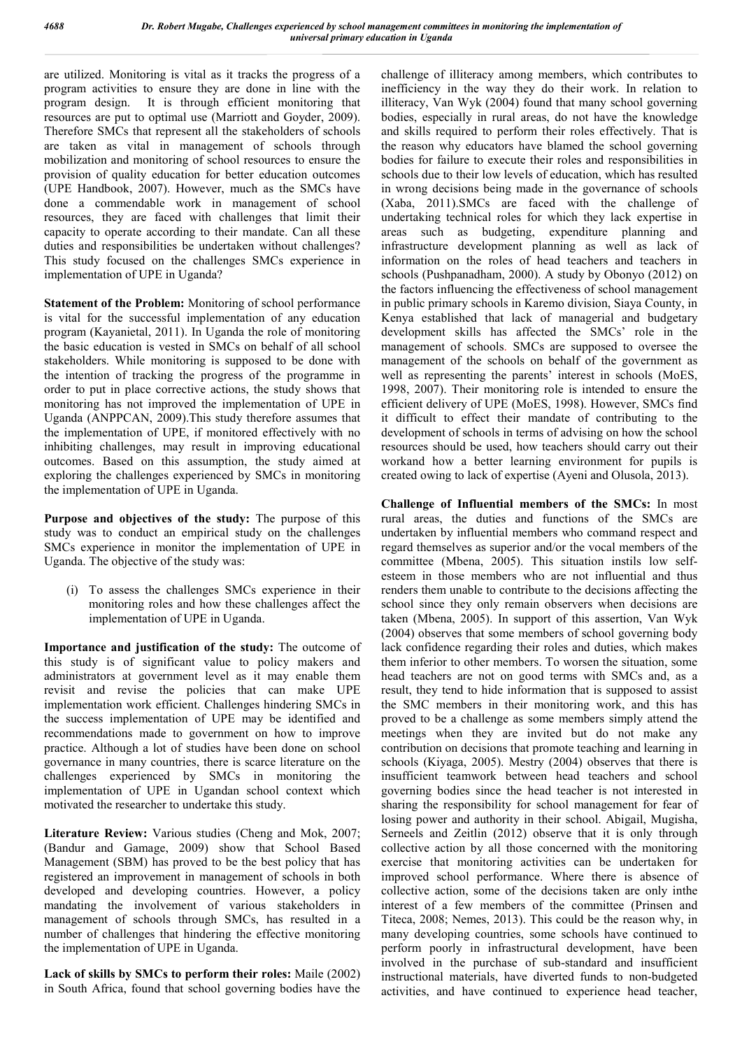are utilized. Monitoring is vital as it tracks the progress of a program activities to ensure they are done in line with the program design. It is through efficient monitoring that resources are put to optimal use (Marriott and Goyder, 2009). Therefore SMCs that represent all the stakeholders of schools are taken as vital in management of schools through mobilization and monitoring of school resources to ensure the provision of quality education for better education outcomes (UPE Handbook, 2007). However, much as the SMCs have done a commendable work in management of school resources, they are faced with challenges that limit their capacity to operate according to their mandate. Can all these duties and responsibilities be undertaken without challenges? This study focused on the challenges SMCs experience in implementation of UPE in Uganda?

**Statement of the Problem:** Monitoring of school performance is vital for the successful implementation of any education program (Kayanietal, 2011). In Uganda the role of monitoring the basic education is vested in SMCs on behalf of all school stakeholders. While monitoring is supposed to be done with the intention of tracking the progress of the programme in order to put in place corrective actions, the study shows that monitoring has not improved the implementation of UPE in Uganda (ANPPCAN, 2009).This study therefore assumes that the implementation of UPE, if monitored effectively with no inhibiting challenges, may result in improving educational outcomes. Based on this assumption, the study aimed at exploring the challenges experienced by SMCs in monitoring the implementation of UPE in Uganda.

**Purpose and objectives of the study:** The purpose of this study was to conduct an empirical study on the challenges SMCs experience in monitor the implementation of UPE in Uganda. The objective of the study was:

(i) To assess the challenges SMCs experience in their monitoring roles and how these challenges affect the implementation of UPE in Uganda.

**Importance and justification of the study:** The outcome of this study is of significant value to policy makers and administrators at government level as it may enable them revisit and revise the policies that can make UPE implementation work efficient. Challenges hindering SMCs in the success implementation of UPE may be identified and recommendations made to government on how to improve practice. Although a lot of studies have been done on school governance in many countries, there is scarce literature on the challenges experienced by SMCs in monitoring the implementation of UPE in Ugandan school context which motivated the researcher to undertake this study.

**Literature Review:** Various studies (Cheng and Mok, 2007; (Bandur and Gamage, 2009) show that School Based Management (SBM) has proved to be the best policy that has registered an improvement in management of schools in both developed and developing countries. However, a policy mandating the involvement of various stakeholders in management of schools through SMCs, has resulted in a number of challenges that hindering the effective monitoring the implementation of UPE in Uganda.

**Lack of skills by SMCs to perform their roles:** Maile (2002) in South Africa, found that school governing bodies have the

challenge of illiteracy among members, which contributes to inefficiency in the way they do their work. In relation to illiteracy, Van Wyk (2004) found that many school governing bodies, especially in rural areas, do not have the knowledge and skills required to perform their roles effectively. That is the reason why educators have blamed the school governing bodies for failure to execute their roles and responsibilities in schools due to their low levels of education, which has resulted in wrong decisions being made in the governance of schools (Xaba, 2011).SMCs are faced with the challenge of undertaking technical roles for which they lack expertise in areas such as budgeting, expenditure planning and infrastructure development planning as well as lack of information on the roles of head teachers and teachers in schools (Pushpanadham, 2000). A study by Obonyo (2012) on the factors influencing the effectiveness of school management in public primary schools in Karemo division, Siaya County, in Kenya established that lack of managerial and budgetary development skills has affected the SMCs' role in the management of schools. SMCs are supposed to oversee the management of the schools on behalf of the government as well as representing the parents' interest in schools (MoES, 1998, 2007). Their monitoring role is intended to ensure the efficient delivery of UPE (MoES, 1998). However, SMCs find it difficult to effect their mandate of contributing to the development of schools in terms of advising on how the school resources should be used, how teachers should carry out their workand how a better learning environment for pupils is created owing to lack of expertise (Ayeni and Olusola, 2013).

**Challenge of Influential members of the SMCs:** In most rural areas, the duties and functions of the SMCs are undertaken by influential members who command respect and regard themselves as superior and/or the vocal members of the committee (Mbena, 2005). This situation instils low selfesteem in those members who are not influential and thus renders them unable to contribute to the decisions affecting the school since they only remain observers when decisions are taken (Mbena, 2005). In support of this assertion, Van Wyk (2004) observes that some members of school governing body lack confidence regarding their roles and duties, which makes them inferior to other members. To worsen the situation, some head teachers are not on good terms with SMCs and, as a result, they tend to hide information that is supposed to assist the SMC members in their monitoring work, and this has proved to be a challenge as some members simply attend the meetings when they are invited but do not make any contribution on decisions that promote teaching and learning in schools (Kiyaga, 2005). Mestry (2004) observes that there is insufficient teamwork between head teachers and school governing bodies since the head teacher is not interested in sharing the responsibility for school management for fear of losing power and authority in their school. Abigail, Mugisha, Serneels and Zeitlin (2012) observe that it is only through collective action by all those concerned with the monitoring exercise that monitoring activities can be undertaken for improved school performance. Where there is absence of collective action, some of the decisions taken are only inthe interest of a few members of the committee (Prinsen and Titeca, 2008; Nemes, 2013). This could be the reason why, in many developing countries, some schools have continued to perform poorly in infrastructural development, have been involved in the purchase of sub-standard and insufficient instructional materials, have diverted funds to non-budgeted activities, and have continued to experience head teacher,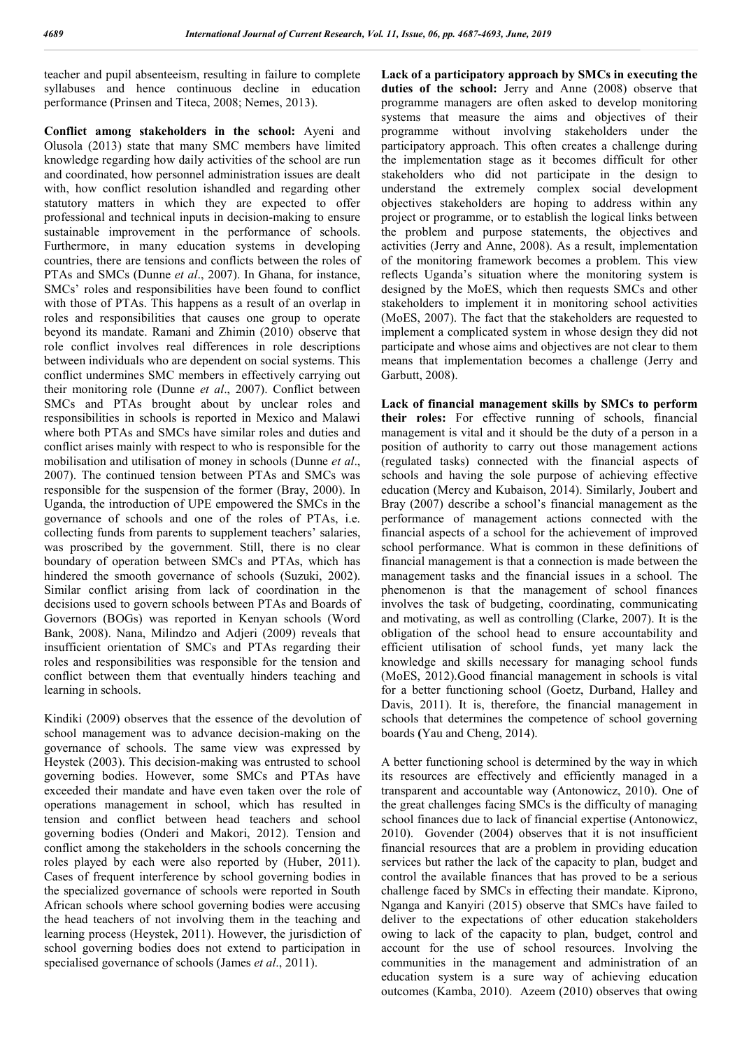teacher and pupil absenteeism, resulting in failure to complete syllabuses and hence continuous decline in education performance (Prinsen and Titeca, 2008; Nemes, 2013).

**Conflict among stakeholders in the school:** Ayeni and Olusola (2013) state that many SMC members have limited knowledge regarding how daily activities of the school are run and coordinated, how personnel administration issues are dealt with, how conflict resolution ishandled and regarding other statutory matters in which they are expected to offer professional and technical inputs in decision-making to ensure sustainable improvement in the performance of schools. Furthermore, in many education systems in developing countries, there are tensions and conflicts between the roles of PTAs and SMCs (Dunne *et al*., 2007). In Ghana, for instance, SMCs' roles and responsibilities have been found to conflict with those of PTAs. This happens as a result of an overlap in roles and responsibilities that causes one group to operate beyond its mandate. Ramani and Zhimin (2010) observe that role conflict involves real differences in role descriptions between individuals who are dependent on social systems. This conflict undermines SMC members in effectively carrying out their monitoring role (Dunne *et al*., 2007). Conflict between SMCs and PTAs brought about by unclear roles and responsibilities in schools is reported in Mexico and Malawi where both PTAs and SMCs have similar roles and duties and conflict arises mainly with respect to who is responsible for the mobilisation and utilisation of money in schools (Dunne *et al*., 2007). The continued tension between PTAs and SMCs was responsible for the suspension of the former (Bray, 2000). In Uganda, the introduction of UPE empowered the SMCs in the governance of schools and one of the roles of PTAs, i.e. collecting funds from parents to supplement teachers' salaries, was proscribed by the government. Still, there is no clear boundary of operation between SMCs and PTAs, which has hindered the smooth governance of schools (Suzuki, 2002). Similar conflict arising from lack of coordination in the decisions used to govern schools between PTAs and Boards of Governors (BOGs) was reported in Kenyan schools (Word Bank, 2008). Nana, Milindzo and Adjeri (2009) reveals that insufficient orientation of SMCs and PTAs regarding their roles and responsibilities was responsible for the tension and conflict between them that eventually hinders teaching and learning in schools.

Kindiki (2009) observes that the essence of the devolution of school management was to advance decision-making on the governance of schools. The same view was expressed by Heystek (2003). This decision-making was entrusted to school governing bodies. However, some SMCs and PTAs have exceeded their mandate and have even taken over the role of operations management in school, which has resulted in tension and conflict between head teachers and school governing bodies (Onderi and Makori, 2012). Tension and conflict among the stakeholders in the schools concerning the roles played by each were also reported by (Huber, 2011). Cases of frequent interference by school governing bodies in the specialized governance of schools were reported in South African schools where school governing bodies were accusing the head teachers of not involving them in the teaching and learning process (Heystek, 2011). However, the jurisdiction of school governing bodies does not extend to participation in specialised governance of schools (James *et al*., 2011).

**Lack of a participatory approach by SMCs in executing the**  duties of the school: Jerry and Anne (2008) observe that programme managers are often asked to develop monitoring systems that measure the aims and objectives of their programme without involving stakeholders under the participatory approach. This often creates a challenge during the implementation stage as it becomes difficult for other stakeholders who did not participate in the design to understand the extremely complex social development objectives stakeholders are hoping to address within any project or programme, or to establish the logical links between the problem and purpose statements, the objectives and activities (Jerry and Anne, 2008). As a result, implementation of the monitoring framework becomes a problem. This view reflects Uganda's situation where the monitoring system is designed by the MoES, which then requests SMCs and other stakeholders to implement it in monitoring school activities (MoES, 2007). The fact that the stakeholders are requested to implement a complicated system in whose design they did not participate and whose aims and objectives are not clear to them means that implementation becomes a challenge (Jerry and Garbutt, 2008).

**Lack of financial management skills by SMCs to perform their roles:** For effective running of schools, financial management is vital and it should be the duty of a person in a position of authority to carry out those management actions (regulated tasks) connected with the financial aspects of schools and having the sole purpose of achieving effective education (Mercy and Kubaison, 2014). Similarly, Joubert and Bray (2007) describe a school's financial management as the performance of management actions connected with the financial aspects of a school for the achievement of improved school performance. What is common in these definitions of financial management is that a connection is made between the management tasks and the financial issues in a school. The phenomenon is that the management of school finances involves the task of budgeting, coordinating, communicating and motivating, as well as controlling (Clarke, 2007). It is the obligation of the school head to ensure accountability and efficient utilisation of school funds, yet many lack the knowledge and skills necessary for managing school funds (MoES, 2012).Good financial management in schools is vital for a better functioning school (Goetz, Durband, Halley and Davis, 2011). It is, therefore, the financial management in schools that determines the competence of school governing boards **(**Yau and Cheng, 2014).

A better functioning school is determined by the way in which its resources are effectively and efficiently managed in a transparent and accountable way (Antonowicz, 2010). One of the great challenges facing SMCs is the difficulty of managing school finances due to lack of financial expertise (Antonowicz, 2010). Govender (2004) observes that it is not insufficient financial resources that are a problem in providing education services but rather the lack of the capacity to plan, budget and control the available finances that has proved to be a serious challenge faced by SMCs in effecting their mandate. Kiprono, Nganga and Kanyiri (2015) observe that SMCs have failed to deliver to the expectations of other education stakeholders owing to lack of the capacity to plan, budget, control and account for the use of school resources. Involving the communities in the management and administration of an education system is a sure way of achieving education outcomes (Kamba, 2010). Azeem (2010) observes that owing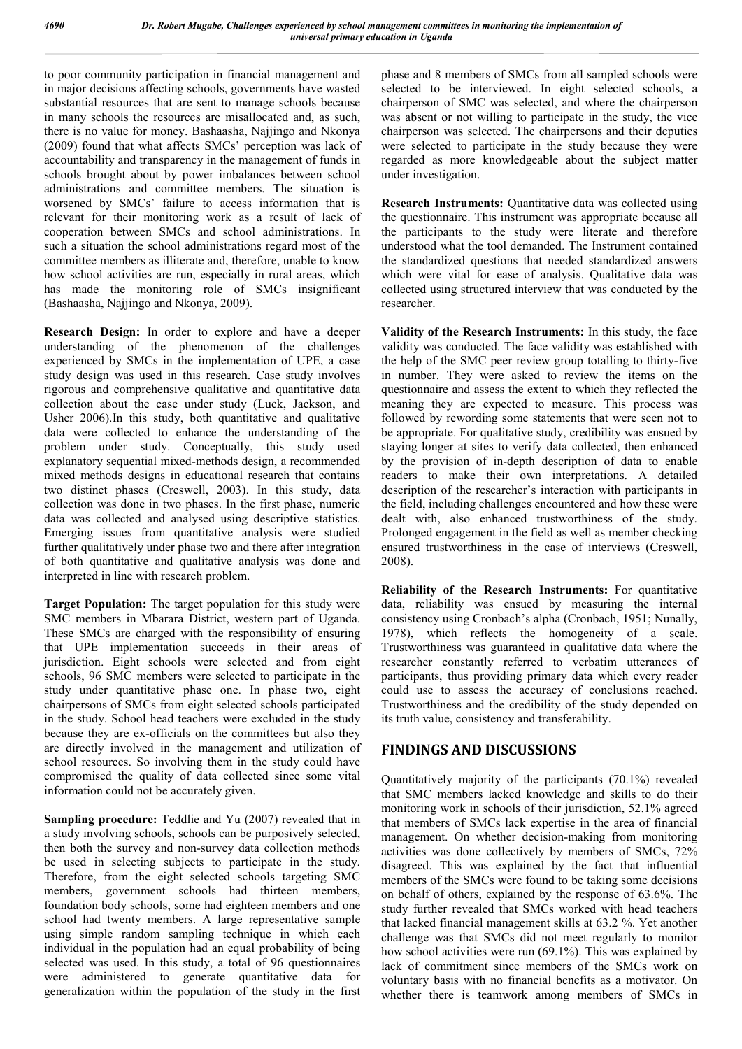to poor community participation in financial management and in major decisions affecting schools, governments have wasted substantial resources that are sent to manage schools because in many schools the resources are misallocated and, as such, there is no value for money. Bashaasha, Najjingo and Nkonya (2009) found that what affects SMCs' perception was lack of accountability and transparency in the management of funds in schools brought about by power imbalances between school administrations and committee members. The situation is worsened by SMCs' failure to access information that is relevant for their monitoring work as a result of lack of cooperation between SMCs and school administrations. In such a situation the school administrations regard most of the committee members as illiterate and, therefore, unable to know how school activities are run, especially in rural areas, which has made the monitoring role of SMCs insignificant (Bashaasha, Najjingo and Nkonya, 2009).

**Research Design:** In order to explore and have a deeper understanding of the phenomenon of the challenges experienced by SMCs in the implementation of UPE, a case study design was used in this research. Case study involves rigorous and comprehensive qualitative and quantitative data collection about the case under study (Luck, Jackson, and Usher 2006).In this study, both quantitative and qualitative data were collected to enhance the understanding of the problem under study. Conceptually, this study used explanatory sequential mixed-methods design, a recommended mixed methods designs in educational research that contains two distinct phases (Creswell, 2003). In this study, data collection was done in two phases. In the first phase, numeric data was collected and analysed using descriptive statistics. Emerging issues from quantitative analysis were studied further qualitatively under phase two and there after integration of both quantitative and qualitative analysis was done and interpreted in line with research problem.

**Target Population:** The target population for this study were SMC members in Mbarara District, western part of Uganda. These SMCs are charged with the responsibility of ensuring that UPE implementation succeeds in their areas of jurisdiction. Eight schools were selected and from eight schools, 96 SMC members were selected to participate in the study under quantitative phase one. In phase two, eight chairpersons of SMCs from eight selected schools participated in the study. School head teachers were excluded in the study because they are ex-officials on the committees but also they are directly involved in the management and utilization of school resources. So involving them in the study could have compromised the quality of data collected since some vital information could not be accurately given.

**Sampling procedure:** Teddlie and Yu (2007) revealed that in a study involving schools, schools can be purposively selected, then both the survey and non-survey data collection methods be used in selecting subjects to participate in the study. Therefore, from the eight selected schools targeting SMC members, government schools had thirteen members, foundation body schools, some had eighteen members and one school had twenty members. A large representative sample using simple random sampling technique in which each individual in the population had an equal probability of being selected was used. In this study, a total of 96 questionnaires were administered to generate quantitative data for generalization within the population of the study in the first phase and 8 members of SMCs from all sampled schools were selected to be interviewed. In eight selected schools, a chairperson of SMC was selected, and where the chairperson was absent or not willing to participate in the study, the vice chairperson was selected. The chairpersons and their deputies were selected to participate in the study because they were regarded as more knowledgeable about the subject matter under investigation.

**Research Instruments:** Quantitative data was collected using the questionnaire. This instrument was appropriate because all the participants to the study were literate and therefore understood what the tool demanded. The Instrument contained the standardized questions that needed standardized answers which were vital for ease of analysis. Qualitative data was collected using structured interview that was conducted by the researcher.

**Validity of the Research Instruments:** In this study, the face validity was conducted. The face validity was established with the help of the SMC peer review group totalling to thirty-five in number. They were asked to review the items on the questionnaire and assess the extent to which they reflected the meaning they are expected to measure. This process was followed by rewording some statements that were seen not to be appropriate. For qualitative study, credibility was ensued by staying longer at sites to verify data collected, then enhanced by the provision of in-depth description of data to enable readers to make their own interpretations. A detailed description of the researcher's interaction with participants in the field, including challenges encountered and how these were dealt with, also enhanced trustworthiness of the study. Prolonged engagement in the field as well as member checking ensured trustworthiness in the case of interviews (Creswell, 2008).

**Reliability of the Research Instruments:** For quantitative data, reliability was ensued by measuring the internal consistency using Cronbach's alpha (Cronbach, 1951; Nunally, 1978), which reflects the homogeneity of a scale. Trustworthiness was guaranteed in qualitative data where the researcher constantly referred to verbatim utterances of participants, thus providing primary data which every reader could use to assess the accuracy of conclusions reached. Trustworthiness and the credibility of the study depended on its truth value, consistency and transferability.

# **FINDINGS AND DISCUSSIONS**

Quantitatively majority of the participants (70.1%) revealed that SMC members lacked knowledge and skills to do their monitoring work in schools of their jurisdiction, 52.1% agreed that members of SMCs lack expertise in the area of financial management. On whether decision-making from monitoring activities was done collectively by members of SMCs, 72% disagreed. This was explained by the fact that influential members of the SMCs were found to be taking some decisions on behalf of others, explained by the response of 63.6%. The study further revealed that SMCs worked with head teachers that lacked financial management skills at 63.2 %. Yet another challenge was that SMCs did not meet regularly to monitor how school activities were run (69.1%). This was explained by lack of commitment since members of the SMCs work on voluntary basis with no financial benefits as a motivator. On whether there is teamwork among members of SMCs in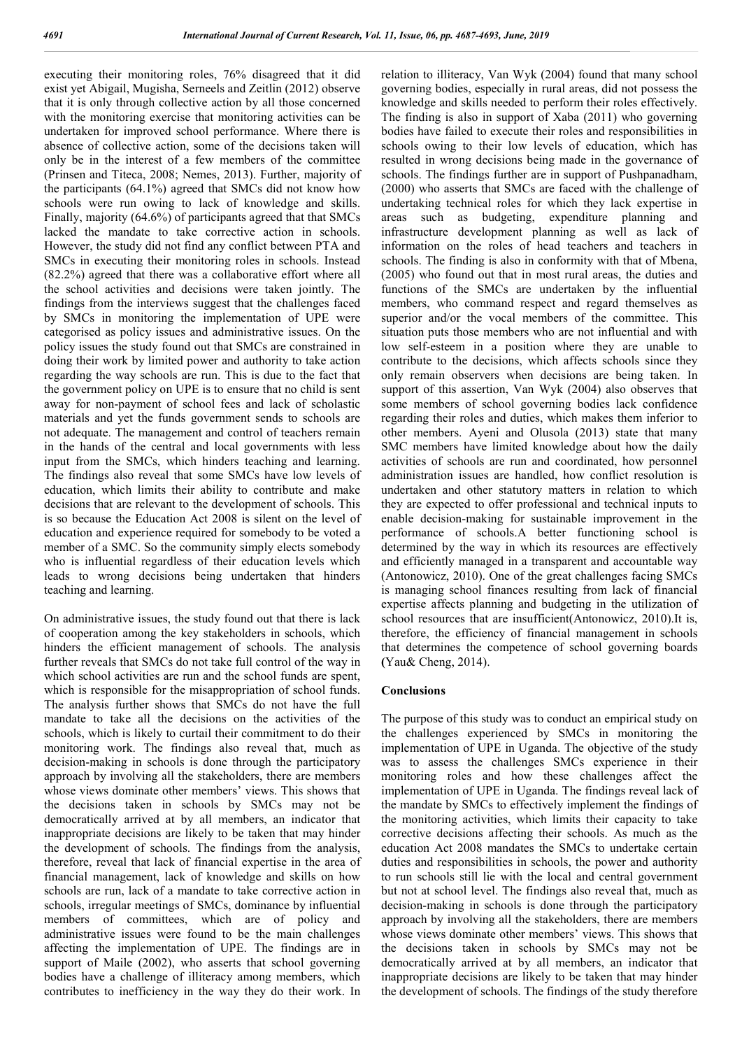executing their monitoring roles, 76% disagreed that it did exist yet Abigail, Mugisha, Serneels and Zeitlin (2012) observe that it is only through collective action by all those concerned with the monitoring exercise that monitoring activities can be undertaken for improved school performance. Where there is absence of collective action, some of the decisions taken will only be in the interest of a few members of the committee (Prinsen and Titeca, 2008; Nemes, 2013). Further, majority of the participants (64.1%) agreed that SMCs did not know how schools were run owing to lack of knowledge and skills. Finally, majority (64.6%) of participants agreed that that SMCs lacked the mandate to take corrective action in schools. However, the study did not find any conflict between PTA and SMCs in executing their monitoring roles in schools. Instead (82.2%) agreed that there was a collaborative effort where all the school activities and decisions were taken jointly. The findings from the interviews suggest that the challenges faced by SMCs in monitoring the implementation of UPE were categorised as policy issues and administrative issues. On the policy issues the study found out that SMCs are constrained in doing their work by limited power and authority to take action regarding the way schools are run. This is due to the fact that the government policy on UPE is to ensure that no child is sent away for non-payment of school fees and lack of scholastic materials and yet the funds government sends to schools are not adequate. The management and control of teachers remain in the hands of the central and local governments with less input from the SMCs, which hinders teaching and learning. The findings also reveal that some SMCs have low levels of education, which limits their ability to contribute and make decisions that are relevant to the development of schools. This is so because the Education Act 2008 is silent on the level of education and experience required for somebody to be voted a member of a SMC. So the community simply elects somebody who is influential regardless of their education levels which leads to wrong decisions being undertaken that hinders teaching and learning.

On administrative issues, the study found out that there is lack of cooperation among the key stakeholders in schools, which hinders the efficient management of schools. The analysis further reveals that SMCs do not take full control of the way in which school activities are run and the school funds are spent, which is responsible for the misappropriation of school funds. The analysis further shows that SMCs do not have the full mandate to take all the decisions on the activities of the schools, which is likely to curtail their commitment to do their monitoring work. The findings also reveal that, much as decision-making in schools is done through the participatory approach by involving all the stakeholders, there are members whose views dominate other members' views. This shows that the decisions taken in schools by SMCs may not be democratically arrived at by all members, an indicator that inappropriate decisions are likely to be taken that may hinder the development of schools. The findings from the analysis, therefore, reveal that lack of financial expertise in the area of financial management, lack of knowledge and skills on how schools are run, lack of a mandate to take corrective action in schools, irregular meetings of SMCs, dominance by influential members of committees, which are of policy and administrative issues were found to be the main challenges affecting the implementation of UPE. The findings are in support of Maile (2002), who asserts that school governing bodies have a challenge of illiteracy among members, which contributes to inefficiency in the way they do their work. In

relation to illiteracy, Van Wyk (2004) found that many school governing bodies, especially in rural areas, did not possess the knowledge and skills needed to perform their roles effectively. The finding is also in support of Xaba (2011) who governing bodies have failed to execute their roles and responsibilities in schools owing to their low levels of education, which has resulted in wrong decisions being made in the governance of schools. The findings further are in support of Pushpanadham, (2000) who asserts that SMCs are faced with the challenge of undertaking technical roles for which they lack expertise in areas such as budgeting, expenditure planning and infrastructure development planning as well as lack of information on the roles of head teachers and teachers in schools. The finding is also in conformity with that of Mbena, (2005) who found out that in most rural areas, the duties and functions of the SMCs are undertaken by the influential members, who command respect and regard themselves as superior and/or the vocal members of the committee. This situation puts those members who are not influential and with low self-esteem in a position where they are unable to contribute to the decisions, which affects schools since they only remain observers when decisions are being taken. In support of this assertion, Van Wyk (2004) also observes that some members of school governing bodies lack confidence regarding their roles and duties, which makes them inferior to other members. Ayeni and Olusola (2013) state that many SMC members have limited knowledge about how the daily activities of schools are run and coordinated, how personnel administration issues are handled, how conflict resolution is undertaken and other statutory matters in relation to which they are expected to offer professional and technical inputs to enable decision-making for sustainable improvement in the performance of schools.A better functioning school is determined by the way in which its resources are effectively and efficiently managed in a transparent and accountable way (Antonowicz, 2010). One of the great challenges facing SMCs is managing school finances resulting from lack of financial expertise affects planning and budgeting in the utilization of school resources that are insufficient(Antonowicz, 2010).It is, therefore, the efficiency of financial management in schools that determines the competence of school governing boards **(**Yau& Cheng, 2014).

#### **Conclusions**

The purpose of this study was to conduct an empirical study on the challenges experienced by SMCs in monitoring the implementation of UPE in Uganda. The objective of the study was to assess the challenges SMCs experience in their monitoring roles and how these challenges affect the implementation of UPE in Uganda. The findings reveal lack of the mandate by SMCs to effectively implement the findings of the monitoring activities, which limits their capacity to take corrective decisions affecting their schools. As much as the education Act 2008 mandates the SMCs to undertake certain duties and responsibilities in schools, the power and authority to run schools still lie with the local and central government but not at school level. The findings also reveal that, much as decision-making in schools is done through the participatory approach by involving all the stakeholders, there are members whose views dominate other members' views. This shows that the decisions taken in schools by SMCs may not be democratically arrived at by all members, an indicator that inappropriate decisions are likely to be taken that may hinder the development of schools. The findings of the study therefore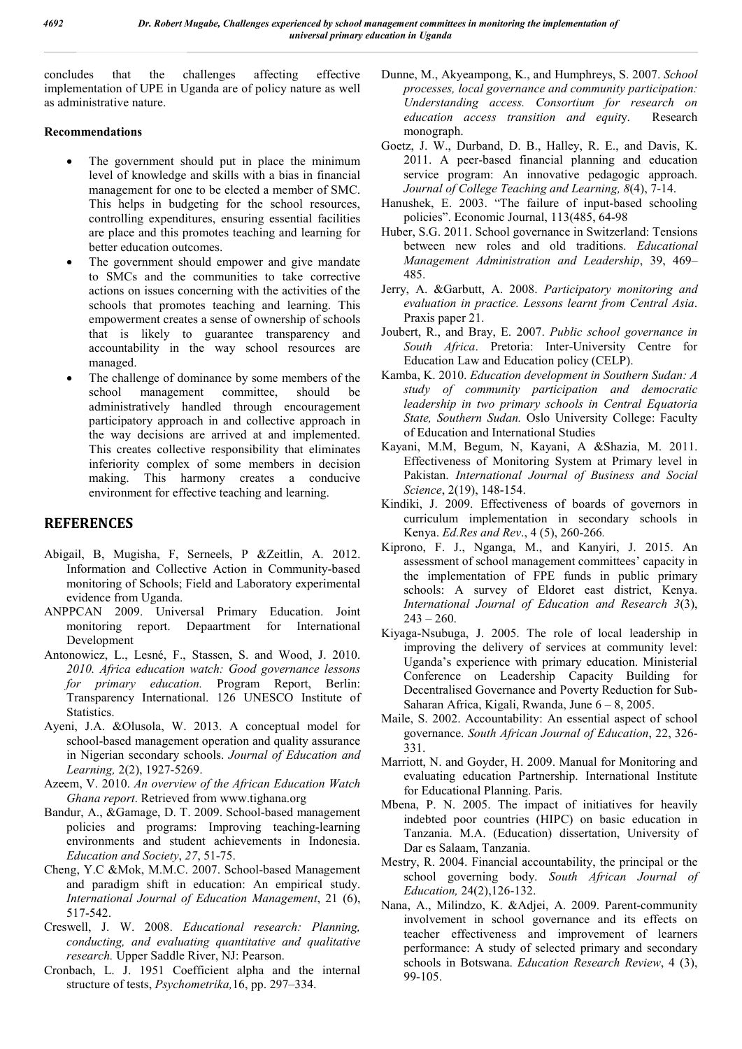concludes that the challenges affecting effective implementation of UPE in Uganda are of policy nature as well as administrative nature.

#### **Recommendations**

- The government should put in place the minimum level of knowledge and skills with a bias in financial management for one to be elected a member of SMC. This helps in budgeting for the school resources, controlling expenditures, ensuring essential facilities are place and this promotes teaching and learning for better education outcomes.
- The government should empower and give mandate to SMCs and the communities to take corrective actions on issues concerning with the activities of the schools that promotes teaching and learning. This empowerment creates a sense of ownership of schools that is likely to guarantee transparency and accountability in the way school resources are managed.
- The challenge of dominance by some members of the school management committee, should be administratively handled through encouragement participatory approach in and collective approach in the way decisions are arrived at and implemented. This creates collective responsibility that eliminates inferiority complex of some members in decision making. This harmony creates a conducive environment for effective teaching and learning.

# **REFERENCES**

- Abigail, B, Mugisha, F, Serneels, P &Zeitlin, A. 2012. Information and Collective Action in Community-based monitoring of Schools; Field and Laboratory experimental evidence from Uganda.
- ANPPCAN 2009. Universal Primary Education. Joint monitoring report. Depaartment for International Development
- Antonowicz, L., Lesné, F., Stassen, S. and Wood, J. 2010. *2010. Africa education watch: Good governance lessons for primary education.* Program Report, Berlin: Transparency International. 126 UNESCO Institute of Statistics.
- Ayeni, J.A. &Olusola, W. 2013. A conceptual model for school-based management operation and quality assurance in Nigerian secondary schools. *Journal of Education and Learning,* 2(2), 1927-5269.
- Azeem, V. 2010. *An overview of the African Education Watch Ghana report*. Retrieved from www.tighana.org
- Bandur, A., &Gamage, D. T. 2009. School-based management policies and programs: Improving teaching-learning environments and student achievements in Indonesia. *Education and Society*, *27*, 51-75.
- Cheng, Y.C &Mok, M.M.C. 2007. School-based Management and paradigm shift in education: An empirical study. *International Journal of Education Management*, 21 (6), 517-542.
- Creswell, J. W. 2008. *Educational research: Planning, conducting, and evaluating quantitative and qualitative research.* Upper Saddle River, NJ: Pearson.
- Cronbach, L. J. 1951 Coefficient alpha and the internal structure of tests, *Psychometrika,*16, pp. 297–334.
- Dunne, M., Akyeampong, K., and Humphreys, S. 2007. *School processes, local governance and community participation: Understanding access. Consortium for research on education access transition and equit*y. Research monograph.
- Goetz, J. W., Durband, D. B., Halley, R. E., and Davis, K. 2011. A peer-based financial planning and education service program: An innovative pedagogic approach. *Journal of College Teaching and Learning, 8*(4), 7-14.
- Hanushek, E. 2003. "The failure of input-based schooling policies". Economic Journal, 113(485, 64-98
- Huber, S.G. 2011. School governance in Switzerland: Tensions between new roles and old traditions. *Educational Management Administration and Leadership*, 39, 469– 485.
- Jerry, A. &Garbutt, A. 2008. *Participatory monitoring and evaluation in practice. Lessons learnt from Central Asia*. Praxis paper 21.
- Joubert, R., and Bray, E. 2007. *Public school governance in South Africa*. Pretoria: Inter-University Centre for Education Law and Education policy (CELP).
- Kamba, K. 2010. *Education development in Southern Sudan: A study of community participation and democratic leadership in two primary schools in Central Equatoria State, Southern Sudan.* Oslo University College: Faculty of Education and International Studies
- Kayani, M.M, Begum, N, Kayani, A &Shazia, M. 2011. Effectiveness of Monitoring System at Primary level in Pakistan. *International Journal of Business and Social Science*, 2(19), 148-154.
- Kindiki, J. 2009. Effectiveness of boards of governors in curriculum implementation in secondary schools in Kenya. *Ed.Res and Rev*., 4 (5), 260-266*.*
- Kiprono, F. J., Nganga, M., and Kanyiri, J. 2015. An assessment of school management committees' capacity in the implementation of FPE funds in public primary schools: A survey of Eldoret east district, Kenya. *International Journal of Education and Research 3*(3),  $243 - 260$ .
- Kiyaga-Nsubuga, J. 2005. The role of local leadership in improving the delivery of services at community level: Uganda's experience with primary education. Ministerial Conference on Leadership Capacity Building for Decentralised Governance and Poverty Reduction for Sub-Saharan Africa, Kigali, Rwanda, June 6 – 8, 2005.
- Maile, S. 2002. Accountability: An essential aspect of school governance. *South African Journal of Education*, 22, 326- 331.
- Marriott, N. and Goyder, H. 2009. Manual for Monitoring and evaluating education Partnership. International Institute for Educational Planning. Paris.
- Mbena, P. N. 2005. The impact of initiatives for heavily indebted poor countries (HIPC) on basic education in Tanzania. M.A. (Education) dissertation, University of Dar es Salaam, Tanzania.
- Mestry, R. 2004. Financial accountability, the principal or the school governing body. *South African Journal of Education,* 24(2),126-132.
- Nana, A., Milindzo, K. &Adjei, A. 2009. Parent-community involvement in school governance and its effects on teacher effectiveness and improvement of learners performance: A study of selected primary and secondary schools in Botswana. *Education Research Review*, 4 (3), 99-105.